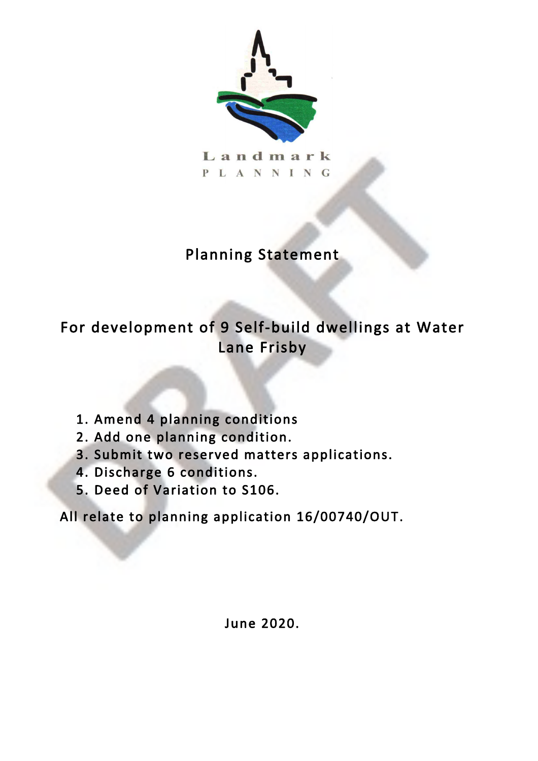

Landmark PLANNING

Planning Statement

For development of 9 Self-build dwellings at Water Lane Frisby

- 1. Amend 4 planning conditions
- 2. Add one planning condition.
- 3. Submit two reserved matters applications.
- 4. Discharge 6 conditions.
- 5. Deed of Variation to S106.

All relate to planning application 16/00740/OUT.

June 2020.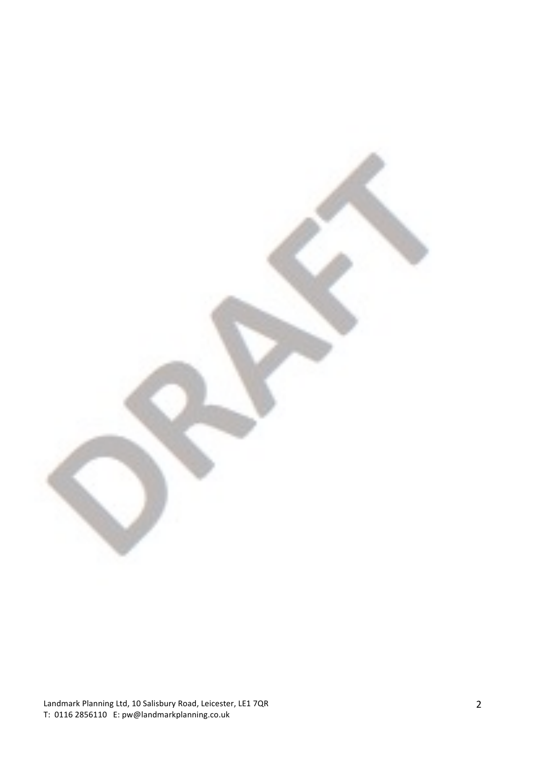

Landmark Planning Ltd, 10 Salisbury Road, Leicester, LE1 7QR T: 0116 2856110 E: pw@landmarkplanning.co.uk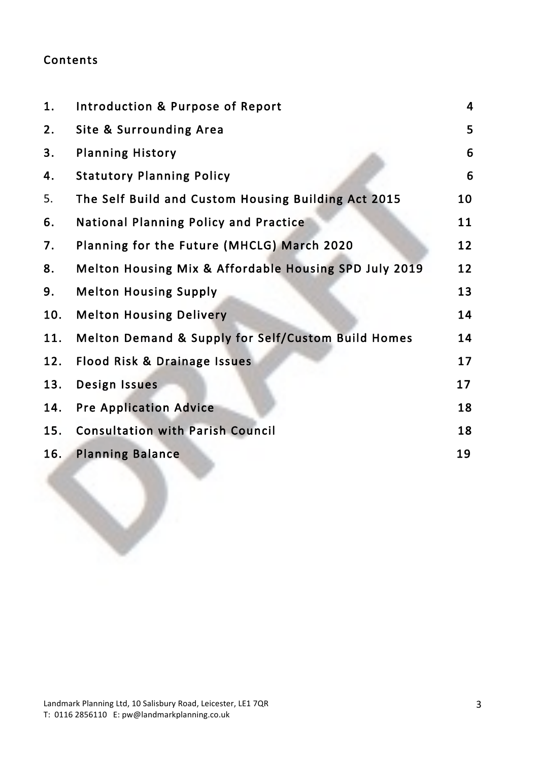#### Contents

| 1.  | Introduction & Purpose of Report                      | $\overline{4}$ |
|-----|-------------------------------------------------------|----------------|
| 2.  | Site & Surrounding Area                               | 5              |
| 3.  | <b>Planning History</b>                               | 6              |
| 4.  | <b>Statutory Planning Policy</b>                      | 6              |
| 5.  | The Self Build and Custom Housing Building Act 2015   | 10             |
| 6.  | <b>National Planning Policy and Practice</b>          | 11             |
| 7.  | Planning for the Future (MHCLG) March 2020            | 12             |
| 8.  | Melton Housing Mix & Affordable Housing SPD July 2019 | 12             |
| 9.  | <b>Melton Housing Supply</b>                          | 13             |
| 10. | <b>Melton Housing Delivery</b>                        | 14             |
| 11. | Melton Demand & Supply for Self/Custom Build Homes    | 14             |
| 12. | Flood Risk & Drainage Issues                          | 17             |
| 13. | <b>Design Issues</b>                                  | 17             |
| 14. | <b>Pre Application Advice</b>                         | 18             |
| 15. | <b>Consultation with Parish Council</b>               | 18             |
| 16. | <b>Planning Balance</b>                               | 19             |
|     |                                                       |                |
|     |                                                       |                |
|     |                                                       |                |
|     |                                                       |                |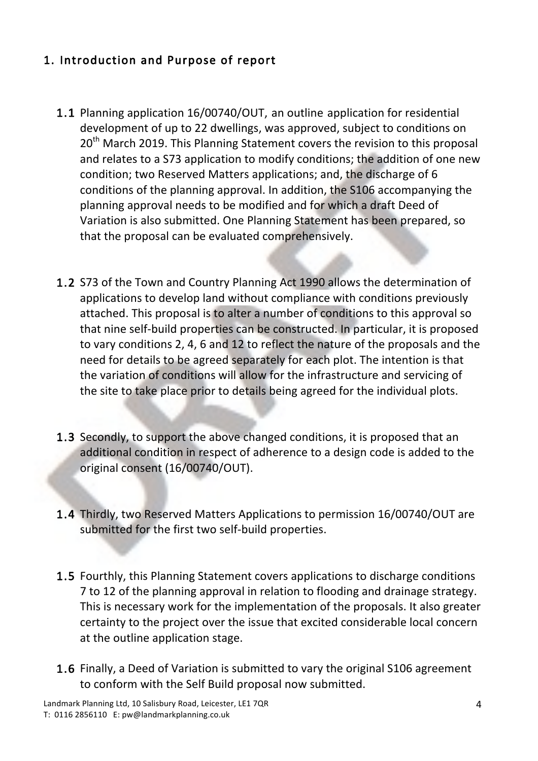# 1. Introduction and Purpose of report

- 1.1 Planning application 16/00740/OUT, an outline application for residential development of up to 22 dwellings, was approved, subject to conditions on 20<sup>th</sup> March 2019. This Planning Statement covers the revision to this proposal and relates to a S73 application to modify conditions; the addition of one new condition; two Reserved Matters applications; and, the discharge of 6 conditions of the planning approval. In addition, the S106 accompanying the planning approval needs to be modified and for which a draft Deed of Variation is also submitted. One Planning Statement has been prepared, so that the proposal can be evaluated comprehensively.
- 1.2 S73 of the Town and Country Planning Act 1990 allows the determination of applications to develop land without compliance with conditions previously attached. This proposal is to alter a number of conditions to this approval so that nine self-build properties can be constructed. In particular, it is proposed to vary conditions 2, 4, 6 and 12 to reflect the nature of the proposals and the need for details to be agreed separately for each plot. The intention is that the variation of conditions will allow for the infrastructure and servicing of the site to take place prior to details being agreed for the individual plots.
- 1.3 Secondly, to support the above changed conditions, it is proposed that an additional condition in respect of adherence to a design code is added to the original consent (16/00740/OUT).
- 1.4 Thirdly, two Reserved Matters Applications to permission 16/00740/OUT are submitted for the first two self-build properties.
- 1.5 Fourthly, this Planning Statement covers applications to discharge conditions 7 to 12 of the planning approval in relation to flooding and drainage strategy. This is necessary work for the implementation of the proposals. It also greater certainty to the project over the issue that excited considerable local concern at the outline application stage.
- 1.6 Finally, a Deed of Variation is submitted to vary the original S106 agreement to conform with the Self Build proposal now submitted.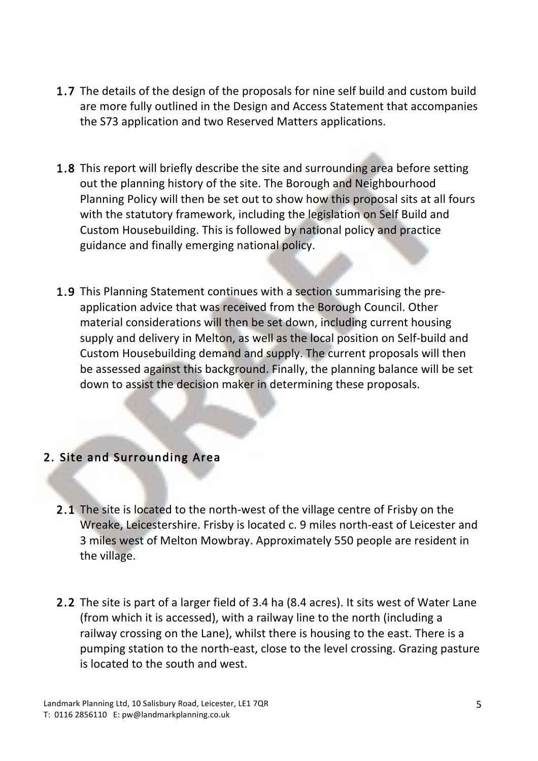- 1.7 The details of the design of the proposals for nine self build and custom build are more fully outlined in the Design and Access Statement that accompanies the S73 application and two Reserved Matters applications.
- **1.8** This report will briefly describe the site and surrounding area before setting out the planning history of the site. The Borough and Neighbourhood Planning Policy will then be set out to show how this proposal sits at all fours with the statutory framework, including the legislation on Self Build and Custom Housebuilding. This is followed by national policy and practice guidance and finally emerging national policy.
- 1.9 This Planning Statement continues with a section summarising the preapplication advice that was received from the Borough Council. Other material considerations will then be set down, including current housing supply and delivery in Melton, as well as the local position on Self-build and Custom Housebuilding demand and supply. The current proposals will then be assessed against this background. Finally, the planning balance will be set down to assist the decision maker in determining these proposals.

#### 2. Site and Surrounding Area

- 2.1 The site is located to the north-west of the village centre of Frisby on the Wreake, Leicestershire. Frisby is located c. 9 miles north-east of Leicester and 3 miles west of Melton Mowbray. Approximately 550 people are resident in the village.
- 2.2 The site is part of a larger field of 3.4 ha (8.4 acres). It sits west of Water Lane (from which it is accessed), with a railway line to the north (including a railway crossing on the Lane), whilst there is housing to the east. There is a pumping station to the north-east, close to the level crossing. Grazing pasture is located to the south and west.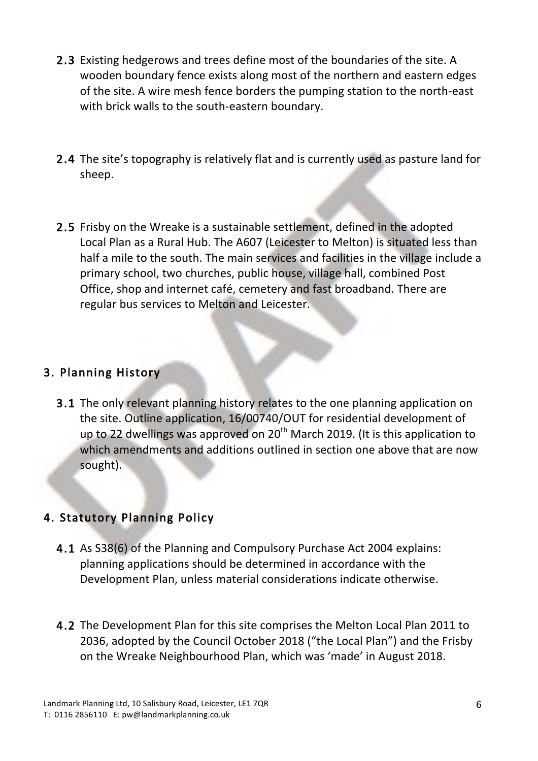- 2.3 Existing hedgerows and trees define most of the boundaries of the site. A wooden boundary fence exists along most of the northern and eastern edges of the site. A wire mesh fence borders the pumping station to the north-east with brick walls to the south-eastern boundary.
- 2.4 The site's topography is relatively flat and is currently used as pasture land for sheep.
- 2.5 Frisby on the Wreake is a sustainable settlement, defined in the adopted Local Plan as a Rural Hub. The A607 (Leicester to Melton) is situated less than half a mile to the south. The main services and facilities in the village include a primary school, two churches, public house, village hall, combined Post Office, shop and internet café, cemetery and fast broadband. There are regular bus services to Melton and Leicester.

# 3. Planning History

**3.1** The only relevant planning history relates to the one planning application on the site. Outline application, 16/00740/OUT for residential development of up to 22 dwellings was approved on  $20<sup>th</sup>$  March 2019. (It is this application to which amendments and additions outlined in section one above that are now sought).

## 4. Statutory Planning Policy

- 4.1 As S38(6) of the Planning and Compulsory Purchase Act 2004 explains: planning applications should be determined in accordance with the Development Plan, unless material considerations indicate otherwise.
- 4.2 The Development Plan for this site comprises the Melton Local Plan 2011 to 2036, adopted by the Council October 2018 ("the Local Plan") and the Frisby on the Wreake Neighbourhood Plan, which was 'made' in August 2018.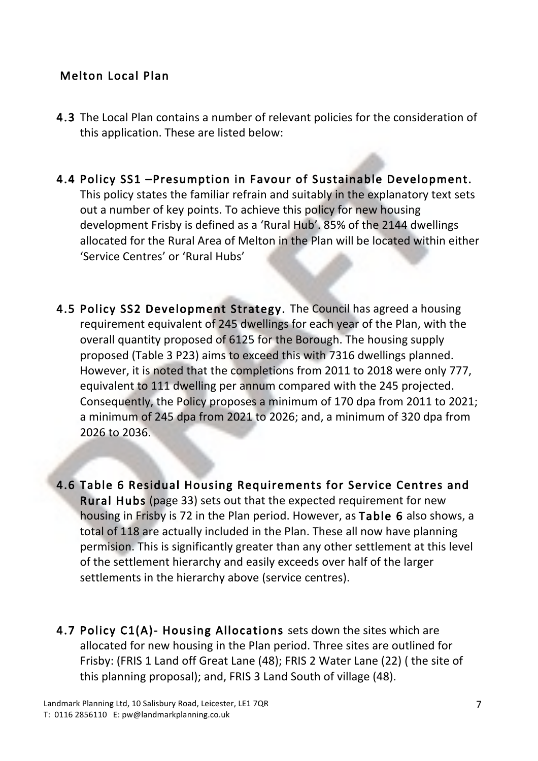## Melton Local Plan

- 4.3 The Local Plan contains a number of relevant policies for the consideration of this application. These are listed below:
- 4.4 Policy SS1 –Presumption in Favour of Sustainable Development. This policy states the familiar refrain and suitably in the explanatory text sets out a number of key points. To achieve this policy for new housing development Frisby is defined as a 'Rural Hub'. 85% of the 2144 dwellings allocated for the Rural Area of Melton in the Plan will be located within either 'Service Centres' or 'Rural Hubs'
- 4.5 Policy SS2 Development Strategy. The Council has agreed a housing requirement equivalent of 245 dwellings for each year of the Plan, with the overall quantity proposed of 6125 for the Borough. The housing supply proposed (Table 3 P23) aims to exceed this with 7316 dwellings planned. However, it is noted that the completions from 2011 to 2018 were only 777, equivalent to 111 dwelling per annum compared with the 245 projected. Consequently, the Policy proposes a minimum of 170 dpa from 2011 to 2021; a minimum of 245 dpa from 2021 to 2026; and, a minimum of 320 dpa from 2026 to 2036.
- 4.6 Table 6 Residual Housing Requirements for Service Centres and Rural Hubs (page 33) sets out that the expected requirement for new housing in Frisby is 72 in the Plan period. However, as Table 6 also shows, a total of 118 are actually included in the Plan. These all now have planning permision. This is significantly greater than any other settlement at this level of the settlement hierarchy and easily exceeds over half of the larger settlements in the hierarchy above (service centres).
- 4.7 Policy C1(A)- Housing Allocations sets down the sites which are allocated for new housing in the Plan period. Three sites are outlined for Frisby: (FRIS 1 Land off Great Lane (48); FRIS 2 Water Lane (22) ( the site of this planning proposal); and, FRIS 3 Land South of village (48).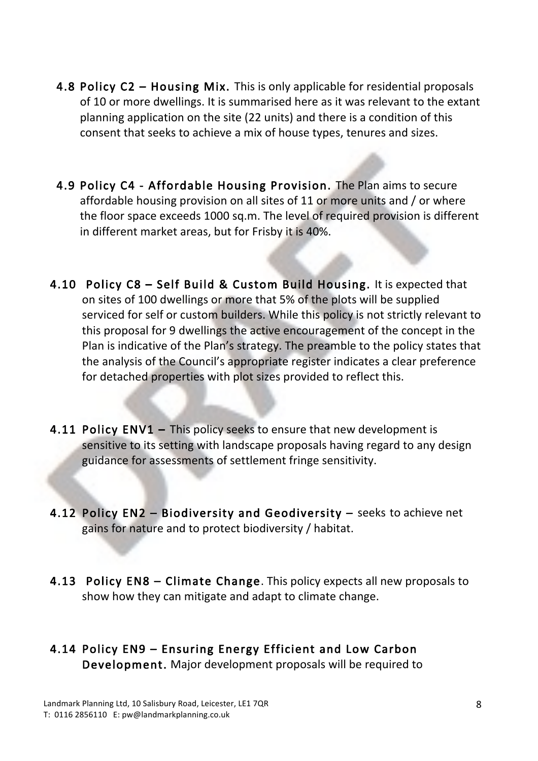- 4.8 Policy C2 Housing Mix. This is only applicable for residential proposals of 10 or more dwellings. It is summarised here as it was relevant to the extant planning application on the site (22 units) and there is a condition of this consent that seeks to achieve a mix of house types, tenures and sizes.
- 4.9 Policy C4 Affordable Housing Provision. The Plan aims to secure affordable housing provision on all sites of 11 or more units and / or where the floor space exceeds 1000 sq.m. The level of required provision is different in different market areas, but for Frisby it is 40%.
- 4.10 Policy C8 Self Build & Custom Build Housing. It is expected that on sites of 100 dwellings or more that 5% of the plots will be supplied serviced for self or custom builders. While this policy is not strictly relevant to this proposal for 9 dwellings the active encouragement of the concept in the Plan is indicative of the Plan's strategy. The preamble to the policy states that the analysis of the Council's appropriate register indicates a clear preference for detached properties with plot sizes provided to reflect this.
- 4.11 Policy ENV1 This policy seeks to ensure that new development is sensitive to its setting with landscape proposals having regard to any design guidance for assessments of settlement fringe sensitivity.
- 4.12 Policy EN2 Biodiversity and Geodiversity seeks to achieve net gains for nature and to protect biodiversity / habitat.
- 4.13 Policy EN8 Climate Change. This policy expects all new proposals to show how they can mitigate and adapt to climate change.

# 4.14 Policy EN9 – Ensuring Energy Efficient and Low Carbon Development. Major development proposals will be required to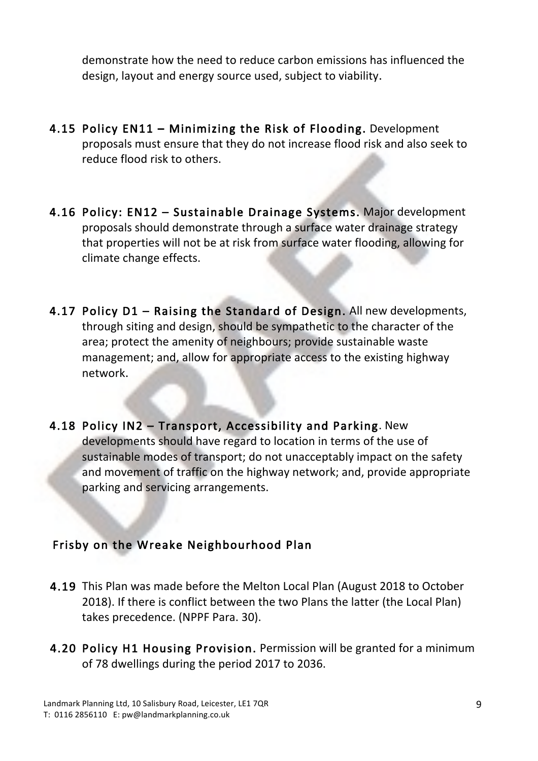demonstrate how the need to reduce carbon emissions has influenced the design, layout and energy source used, subject to viability.

- 4.15 Policy EN11 Minimizing the Risk of Flooding. Development proposals must ensure that they do not increase flood risk and also seek to reduce flood risk to others.
- 4.16 Policy: EN12 Sustainable Drainage Systems. Major development proposals should demonstrate through a surface water drainage strategy that properties will not be at risk from surface water flooding, allowing for climate change effects.
- 4.17 Policy D1 Raising the Standard of Design. All new developments, through siting and design, should be sympathetic to the character of the area; protect the amenity of neighbours; provide sustainable waste management; and, allow for appropriate access to the existing highway network.
- 4.18 Policy IN2 Transport, Accessibility and Parking. New developments should have regard to location in terms of the use of sustainable modes of transport; do not unacceptably impact on the safety and movement of traffic on the highway network; and, provide appropriate parking and servicing arrangements.

#### Frisby on the Wreake Neighbourhood Plan

- 4.19 This Plan was made before the Melton Local Plan (August 2018 to October 2018). If there is conflict between the two Plans the latter (the Local Plan) takes precedence. (NPPF Para. 30).
- 4.20 Policy H1 Housing Provision. Permission will be granted for a minimum of 78 dwellings during the period 2017 to 2036.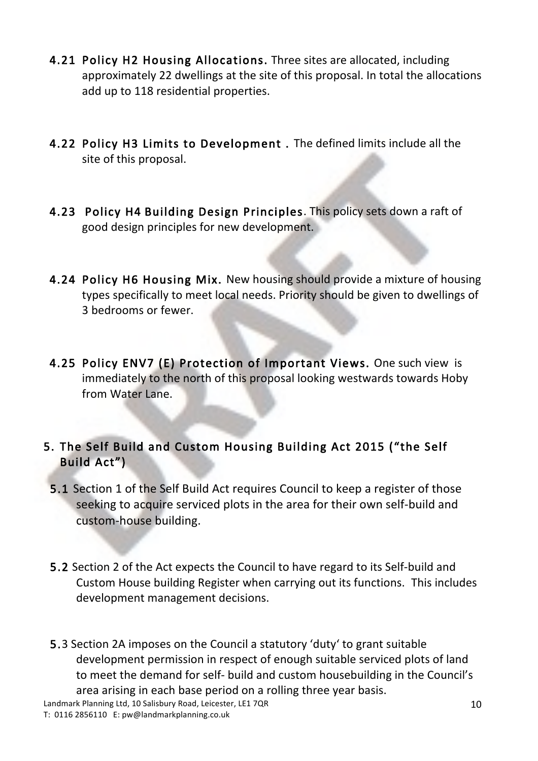- 4.21 Policy H2 Housing Allocations. Three sites are allocated, including approximately 22 dwellings at the site of this proposal. In total the allocations add up to 118 residential properties.
- 4.22 Policy H3 Limits to Development . The defined limits include all the site of this proposal.
- 4.23 Policy H4 Building Design Principles. This policy sets down a raft of good design principles for new development.
- 4.24 Policy H6 Housing Mix. New housing should provide a mixture of housing types specifically to meet local needs. Priority should be given to dwellings of 3 bedrooms or fewer.
- 4.25 Policy ENV7 (E) Protection of Important Views. One such view is immediately to the north of this proposal looking westwards towards Hoby from Water Lane.
- 5. The Self Build and Custom Housing Building Act 2015 ("the Self Build Act")
	- 5.1 Section 1 of the Self Build Act requires Council to keep a register of those seeking to acquire serviced plots in the area for their own self-build and custom-house building.
	- 5.2 Section 2 of the Act expects the Council to have regard to its Self-build and Custom House building Register when carrying out its functions. This includes development management decisions.
	- 5.3 Section 2A imposes on the Council a statutory 'duty' to grant suitable development permission in respect of enough suitable serviced plots of land to meet the demand for self- build and custom housebuilding in the Council's area arising in each base period on a rolling three year basis.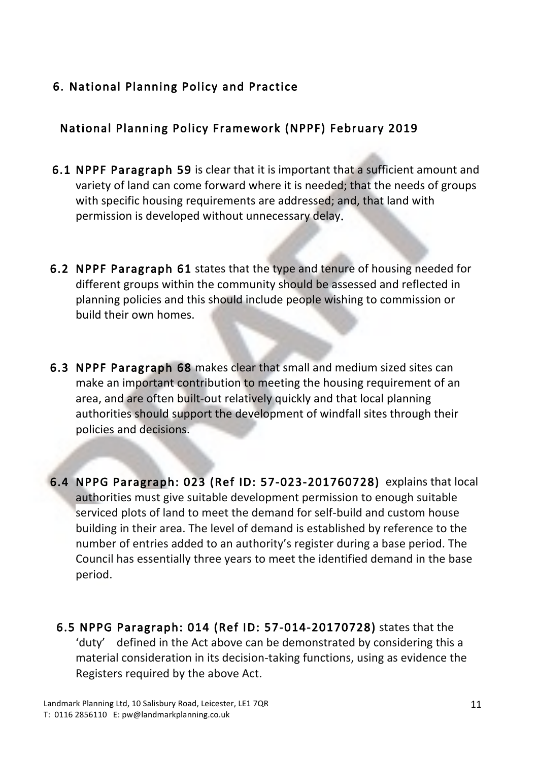# 6. National Planning Policy and Practice

## National Planning Policy Framework (NPPF) February 2019

- 6.1 NPPF Paragraph 59 is clear that it is important that a sufficient amount and variety of land can come forward where it is needed; that the needs of groups with specific housing requirements are addressed; and, that land with permission is developed without unnecessary delay.
- 6.2 NPPF Paragraph 61 states that the type and tenure of housing needed for different groups within the community should be assessed and reflected in planning policies and this should include people wishing to commission or build their own homes.
- 6.3 NPPF Paragraph 68 makes clear that small and medium sized sites can make an important contribution to meeting the housing requirement of an area, and are often built-out relatively quickly and that local planning authorities should support the development of windfall sites through their policies and decisions.
- 6.4 NPPG Paragraph: 023 (Ref ID: 57-023-201760728) explains that local authorities must give suitable development permission to enough suitable serviced plots of land to meet the demand for self-build and custom house building in their area. The level of demand is established by reference to the number of entries added to an authority's register during a base period. The Council has essentially three years to meet the identified demand in the base period.
	- 6.5 NPPG Paragraph: 014 (Ref ID: 57-014-20170728) states that the 'duty' defined in the Act above can be demonstrated by considering this a material consideration in its decision-taking functions, using as evidence the Registers required by the above Act.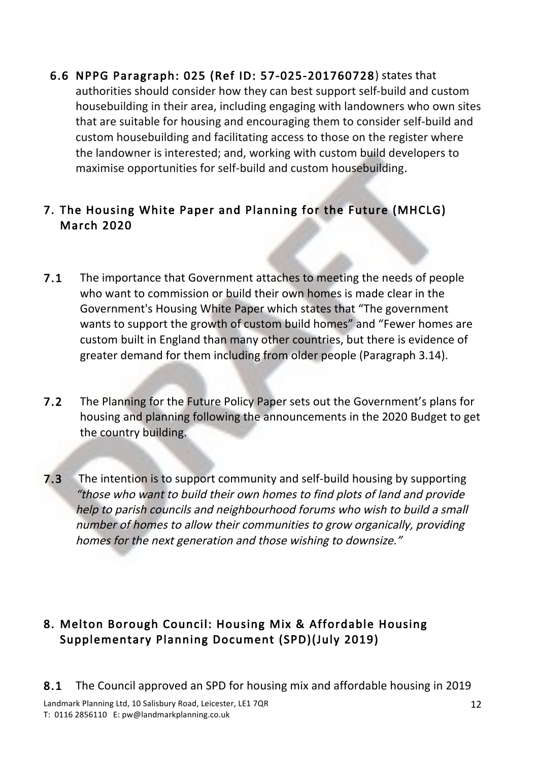6.6 NPPG Paragraph: 025 (Ref ID: 57-025-201760728) states that authorities should consider how they can best support self-build and custom housebuilding in their area, including engaging with landowners who own sites that are suitable for housing and encouraging them to consider self-build and custom housebuilding and facilitating access to those on the register where the landowner is interested; and, working with custom build developers to maximise opportunities for self-build and custom housebuilding.

# 7. The Housing White Paper and Planning for the Future (MHCLG) March 2020

- 7.1 The importance that Government attaches to meeting the needs of people who want to commission or build their own homes is made clear in the Government's Housing White Paper which states that "The government wants to support the growth of custom build homes" and "Fewer homes are custom built in England than many other countries, but there is evidence of greater demand for them including from older people (Paragraph 3.14).
- 7.2 The Planning for the Future Policy Paper sets out the Government's plans for housing and planning following the announcements in the 2020 Budget to get the country building.
- 7.3 The intention is to support community and self-build housing by supporting "those who want to build their own homes to find plots of land and provide help to parish councils and neighbourhood forums who wish to build a small number of homes to allow their communities to grow organically, providing homes for the next generation and those wishing to downsize."

# 8. Melton Borough Council: Housing Mix & Affordable Housing Supplementary Planning Document (SPD)(July 2019)

8.1 The Council approved an SPD for housing mix and affordable housing in 2019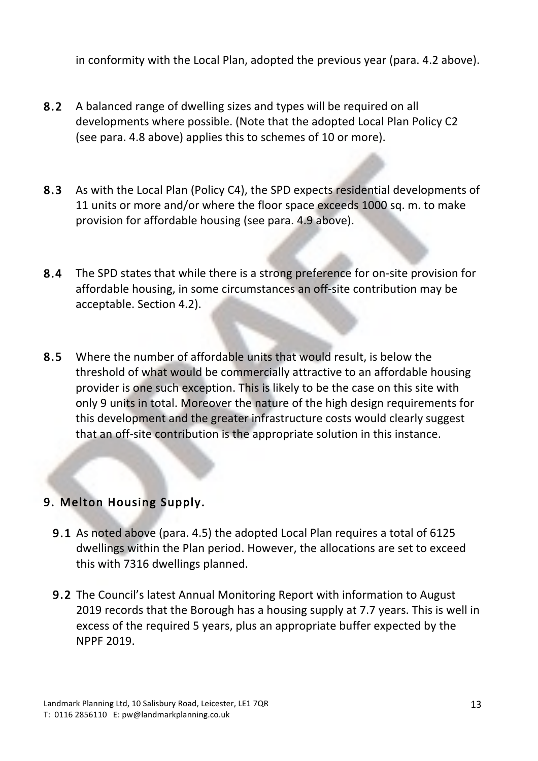in conformity with the Local Plan, adopted the previous year (para. 4.2 above).

- 8.2 A balanced range of dwelling sizes and types will be required on all developments where possible. (Note that the adopted Local Plan Policy C2 (see para. 4.8 above) applies this to schemes of 10 or more).
- 8.3 As with the Local Plan (Policy C4), the SPD expects residential developments of 11 units or more and/or where the floor space exceeds 1000 sq. m. to make provision for affordable housing (see para. 4.9 above).
- 8.4 The SPD states that while there is a strong preference for on-site provision for affordable housing, in some circumstances an off-site contribution may be acceptable. Section 4.2).
- 8.5 Where the number of affordable units that would result, is below the threshold of what would be commercially attractive to an affordable housing provider is one such exception. This is likely to be the case on this site with only 9 units in total. Moreover the nature of the high design requirements for this development and the greater infrastructure costs would clearly suggest that an off-site contribution is the appropriate solution in this instance.

# 9. Melton Housing Supply.

l

- 9.1 As noted above (para. 4.5) the adopted Local Plan requires a total of 6125 dwellings within the Plan period. However, the allocations are set to exceed this with 7316 dwellings planned.
- 9.2 The Council's latest Annual Monitoring Report with information to August 2019 records that the Borough has a housing supply at 7.7 years. This is well in excess of the required 5 years, plus an appropriate buffer expected by the NPPF 2019.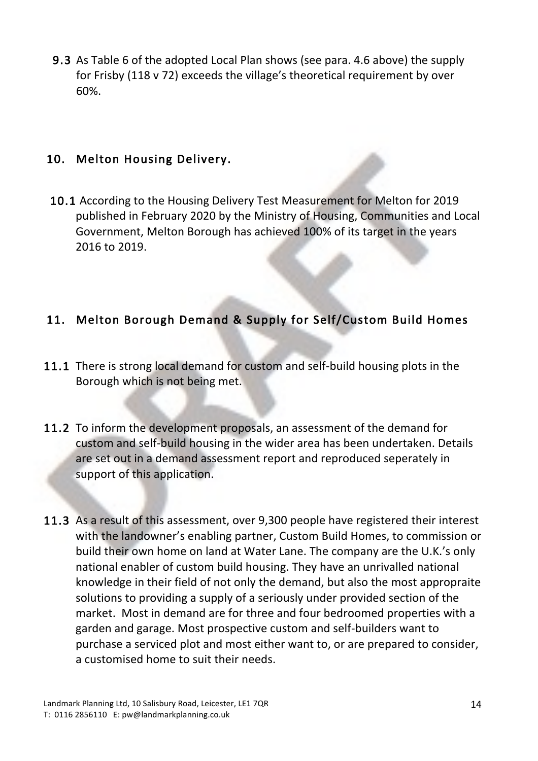9.3 As Table 6 of the adopted Local Plan shows (see para. 4.6 above) the supply for Frisby (118 v 72) exceeds the village's theoretical requirement by over 60%.

## 10. Melton Housing Delivery.

10.1 According to the Housing Delivery Test Measurement for Melton for 2019 published in February 2020 by the Ministry of Housing, Communities and Local Government, Melton Borough has achieved 100% of its target in the years 2016 to 2019.

# 11. Melton Borough Demand & Supply for Self/Custom Build Homes

- 11.1 There is strong local demand for custom and self-build housing plots in the Borough which is not being met.
- 11.2 To inform the development proposals, an assessment of the demand for custom and self-build housing in the wider area has been undertaken. Details are set out in a demand assessment report and reproduced seperately in support of this application.
- 11.3 As a result of this assessment, over 9,300 people have registered their interest with the landowner's enabling partner, Custom Build Homes, to commission or build their own home on land at Water Lane. The company are the U.K.'s only national enabler of custom build housing. They have an unrivalled national knowledge in their field of not only the demand, but also the most appropraite solutions to providing a supply of a seriously under provided section of the market. Most in demand are for three and four bedroomed properties with a garden and garage. Most prospective custom and self-builders want to purchase a serviced plot and most either want to, or are prepared to consider, a customised home to suit their needs.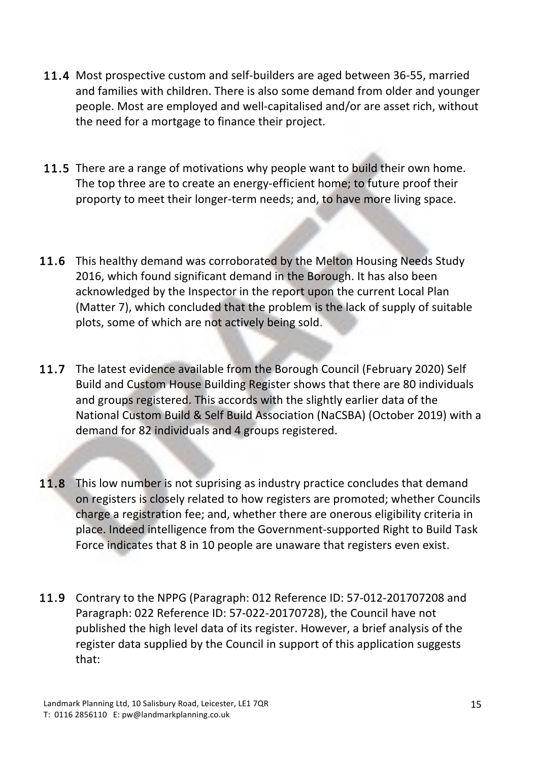- 11.4 Most prospective custom and self-builders are aged between 36-55, married and families with children. There is also some demand from older and younger people. Most are employed and well-capitalised and/or are asset rich, without the need for a mortgage to finance their project.
- 11.5 There are a range of motivations why people want to build their own home. The top three are to create an energy-efficient home; to future proof their proporty to meet their longer-term needs; and, to have more living space.
- 11.6 This healthy demand was corroborated by the Melton Housing Needs Study 2016, which found significant demand in the Borough. It has also been acknowledged by the Inspector in the report upon the current Local Plan (Matter 7), which concluded that the problem is the lack of supply of suitable plots, some of which are not actively being sold.
- 11.7 The latest evidence available from the Borough Council (February 2020) Self Build and Custom House Building Register shows that there are 80 individuals and groups registered. This accords with the slightly earlier data of the National Custom Build & Self Build Association (NaCSBA) (October 2019) with a demand for 82 individuals and 4 groups registered.
- **11.8** This low number is not suprising as industry practice concludes that demand on registers is closely related to how registers are promoted; whether Councils charge a registration fee; and, whether there are onerous eligibility criteria in place. Indeed intelligence from the Government-supported Right to Build Task Force indicates that 8 in 10 people are unaware that registers even exist.
- 11.9 Contrary to the NPPG (Paragraph: 012 Reference ID: 57-012-201707208 and Paragraph: 022 Reference ID: 57-022-20170728), the Council have not published the high level data of its register. However, a brief analysis of the register data supplied by the Council in support of this application suggests that: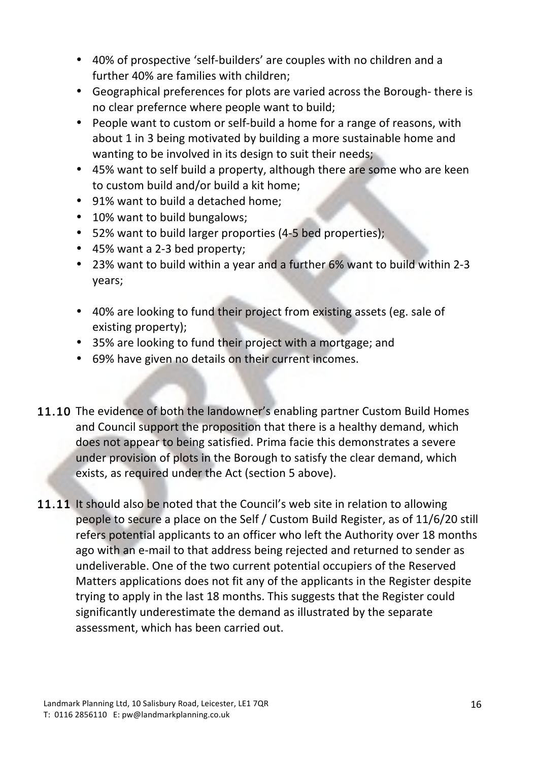- 40% of prospective 'self-builders' are couples with no children and a further 40% are families with children;
- Geographical preferences for plots are varied across the Borough- there is no clear prefernce where people want to build;
- People want to custom or self-build a home for a range of reasons, with about 1 in 3 being motivated by building a more sustainable home and wanting to be involved in its design to suit their needs;
- 45% want to self build a property, although there are some who are keen to custom build and/or build a kit home;
- 91% want to build a detached home;
- 10% want to build bungalows:
- 52% want to build larger proporties (4-5 bed properties);
- 45% want a 2-3 bed property;
- 23% want to build within a year and a further 6% want to build within 2-3 years;
- 40% are looking to fund their project from existing assets (eg. sale of existing property);
- 35% are looking to fund their project with a mortgage; and
- 69% have given no details on their current incomes.
- 11.10 The evidence of both the landowner's enabling partner Custom Build Homes and Council support the proposition that there is a healthy demand, which does not appear to being satisfied. Prima facie this demonstrates a severe under provision of plots in the Borough to satisfy the clear demand, which exists, as required under the Act (section 5 above).
- 11.11 It should also be noted that the Council's web site in relation to allowing people to secure a place on the Self / Custom Build Register, as of 11/6/20 still refers potential applicants to an officer who left the Authority over 18 months ago with an e-mail to that address being rejected and returned to sender as undeliverable. One of the two current potential occupiers of the Reserved Matters applications does not fit any of the applicants in the Register despite trying to apply in the last 18 months. This suggests that the Register could significantly underestimate the demand as illustrated by the separate assessment, which has been carried out.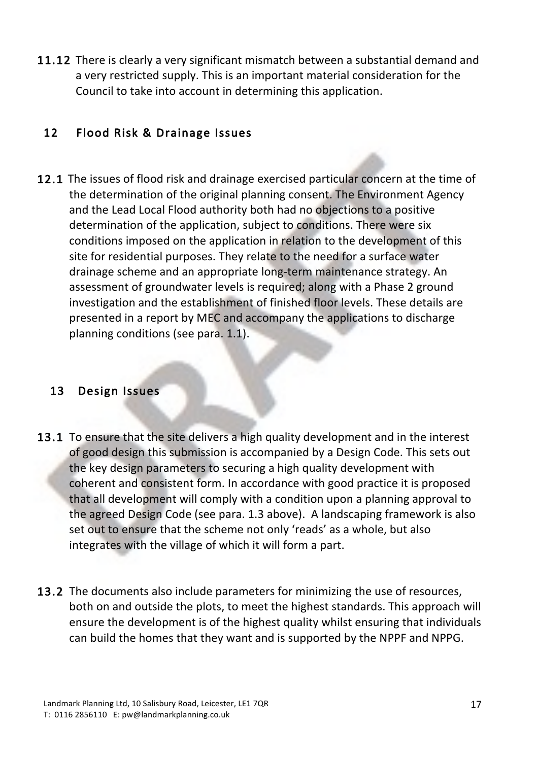11.12 There is clearly a very significant mismatch between a substantial demand and a very restricted supply. This is an important material consideration for the Council to take into account in determining this application.

# 12 Flood Risk & Drainage Issues

12.1 The issues of flood risk and drainage exercised particular concern at the time of the determination of the original planning consent. The Environment Agency and the Lead Local Flood authority both had no objections to a positive determination of the application, subject to conditions. There were six conditions imposed on the application in relation to the development of this site for residential purposes. They relate to the need for a surface water drainage scheme and an appropriate long-term maintenance strategy. An assessment of groundwater levels is required; along with a Phase 2 ground investigation and the establishment of finished floor levels. These details are presented in a report by MEC and accompany the applications to discharge planning conditions (see para. 1.1).

#### 13 Design Issues

- 13.1 To ensure that the site delivers a high quality development and in the interest of good design this submission is accompanied by a Design Code. This sets out the key design parameters to securing a high quality development with coherent and consistent form. In accordance with good practice it is proposed that all development will comply with a condition upon a planning approval to the agreed Design Code (see para. 1.3 above). A landscaping framework is also set out to ensure that the scheme not only 'reads' as a whole, but also integrates with the village of which it will form a part.
- 13.2 The documents also include parameters for minimizing the use of resources, both on and outside the plots, to meet the highest standards. This approach will ensure the development is of the highest quality whilst ensuring that individuals can build the homes that they want and is supported by the NPPF and NPPG.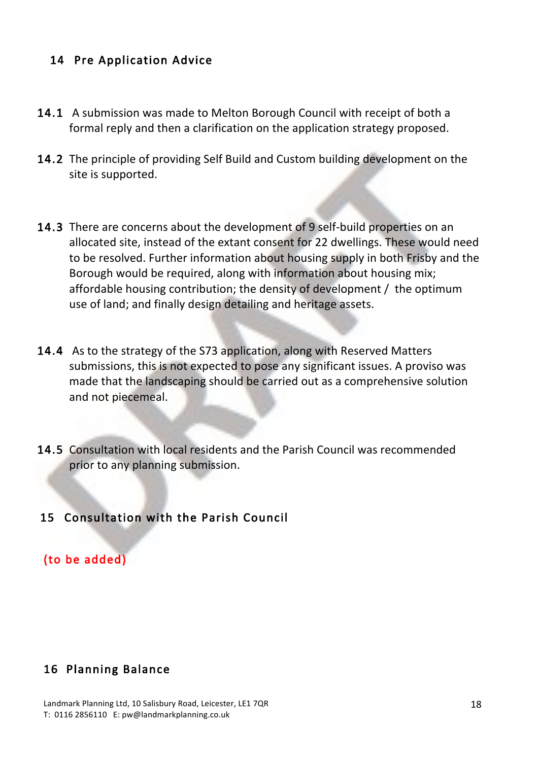## 14 Pre Application Advice

- 14.1 A submission was made to Melton Borough Council with receipt of both a formal reply and then a clarification on the application strategy proposed.
- 14.2 The principle of providing Self Build and Custom building development on the site is supported.
- 14.3 There are concerns about the development of 9 self-build properties on an allocated site, instead of the extant consent for 22 dwellings. These would need to be resolved. Further information about housing supply in both Frisby and the Borough would be required, along with information about housing mix; affordable housing contribution; the density of development / the optimum use of land; and finally design detailing and heritage assets.
- 14.4 As to the strategy of the S73 application, along with Reserved Matters submissions, this is not expected to pose any significant issues. A proviso was made that the landscaping should be carried out as a comprehensive solution and not piecemeal.
- 14.5 Consultation with local residents and the Parish Council was recommended prior to any planning submission.

#### 15 Consultation with the Parish Council

#### (to be added)

#### 16 Planning Balance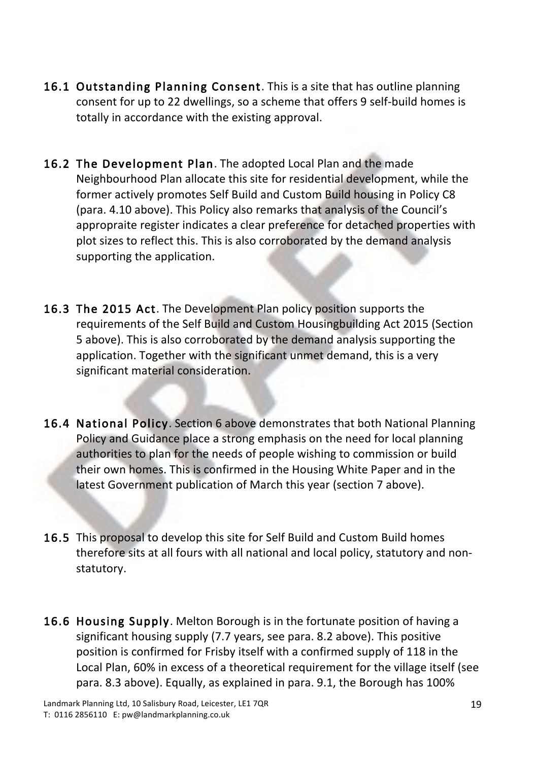- 16.1 Outstanding Planning Consent. This is a site that has outline planning consent for up to 22 dwellings, so a scheme that offers 9 self-build homes is totally in accordance with the existing approval.
- 16.2 The Development Plan. The adopted Local Plan and the made Neighbourhood Plan allocate this site for residential development, while the former actively promotes Self Build and Custom Build housing in Policy C8 (para. 4.10 above). This Policy also remarks that analysis of the Council's appropraite register indicates a clear preference for detached properties with plot sizes to reflect this. This is also corroborated by the demand analysis supporting the application.
- 16.3 The 2015 Act. The Development Plan policy position supports the requirements of the Self Build and Custom Housingbuilding Act 2015 (Section 5 above). This is also corroborated by the demand analysis supporting the application. Together with the significant unmet demand, this is a very significant material consideration.
- 16.4 National Policy. Section 6 above demonstrates that both National Planning Policy and Guidance place a strong emphasis on the need for local planning authorities to plan for the needs of people wishing to commission or build their own homes. This is confirmed in the Housing White Paper and in the latest Government publication of March this year (section 7 above).
- 16.5 This proposal to develop this site for Self Build and Custom Build homes therefore sits at all fours with all national and local policy, statutory and nonstatutory.
- 16.6 Housing Supply. Melton Borough is in the fortunate position of having a significant housing supply (7.7 years, see para. 8.2 above). This positive position is confirmed for Frisby itself with a confirmed supply of 118 in the Local Plan, 60% in excess of a theoretical requirement for the village itself (see para. 8.3 above). Equally, as explained in para. 9.1, the Borough has 100%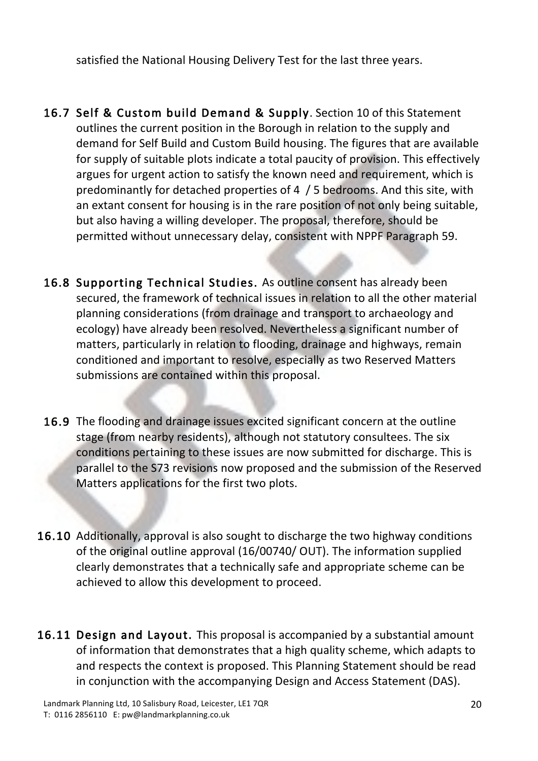satisfied the National Housing Delivery Test for the last three years.

- 16.7 Self & Custom build Demand & Supply. Section 10 of this Statement outlines the current position in the Borough in relation to the supply and demand for Self Build and Custom Build housing. The figures that are available for supply of suitable plots indicate a total paucity of provision. This effectively argues for urgent action to satisfy the known need and requirement, which is predominantly for detached properties of 4 / 5 bedrooms. And this site, with an extant consent for housing is in the rare position of not only being suitable, but also having a willing developer. The proposal, therefore, should be permitted without unnecessary delay, consistent with NPPF Paragraph 59.
- 16.8 Supporting Technical Studies. As outline consent has already been secured, the framework of technical issues in relation to all the other material planning considerations (from drainage and transport to archaeology and ecology) have already been resolved. Nevertheless a significant number of matters, particularly in relation to flooding, drainage and highways, remain conditioned and important to resolve, especially as two Reserved Matters submissions are contained within this proposal.
- 16.9 The flooding and drainage issues excited significant concern at the outline stage (from nearby residents), although not statutory consultees. The six conditions pertaining to these issues are now submitted for discharge. This is parallel to the S73 revisions now proposed and the submission of the Reserved Matters applications for the first two plots.
- 16.10 Additionally, approval is also sought to discharge the two highway conditions of the original outline approval (16/00740/ OUT). The information supplied clearly demonstrates that a technically safe and appropriate scheme can be achieved to allow this development to proceed.
- 16.11 Design and Layout. This proposal is accompanied by a substantial amount of information that demonstrates that a high quality scheme, which adapts to and respects the context is proposed. This Planning Statement should be read in conjunction with the accompanying Design and Access Statement (DAS).